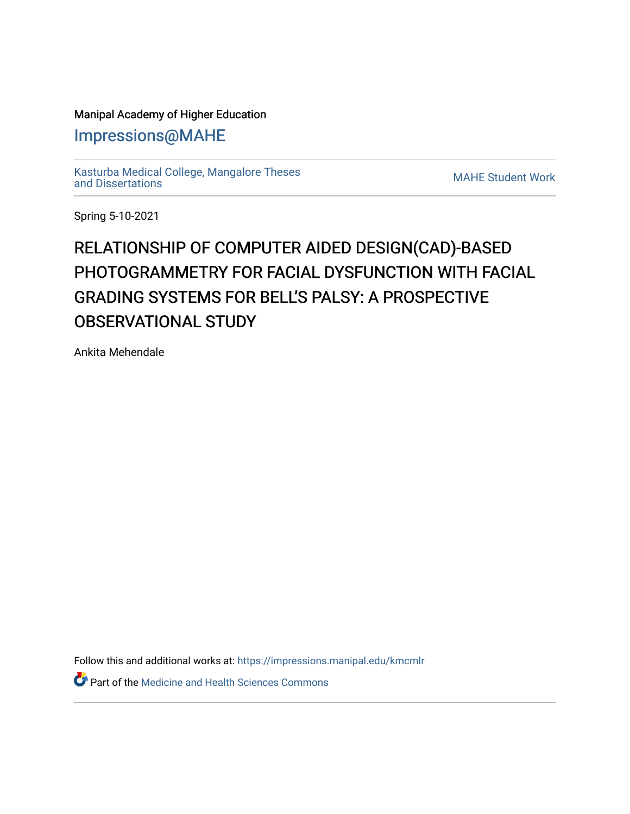## Manipal Academy of Higher Education

## [Impressions@MAHE](https://impressions.manipal.edu/)

[Kasturba Medical College, Mangalore Theses](https://impressions.manipal.edu/kmcmlr) [and Dissertations](https://impressions.manipal.edu/kmcmlr) [MAHE Student Work](https://impressions.manipal.edu/student-work) 

Spring 5-10-2021

## RELATIONSHIP OF COMPUTER AIDED DESIGN(CAD)-BASED PHOTOGRAMMETRY FOR FACIAL DYSFUNCTION WITH FACIAL GRADING SYSTEMS FOR BELL'S PALSY: A PROSPECTIVE **OBSERVATIONAL STUDY**

Ankita Mehendale

Follow this and additional works at: [https://impressions.manipal.edu/kmcmlr](https://impressions.manipal.edu/kmcmlr?utm_source=impressions.manipal.edu%2Fkmcmlr%2F127&utm_medium=PDF&utm_campaign=PDFCoverPages) 

**C** Part of the Medicine and Health Sciences Commons